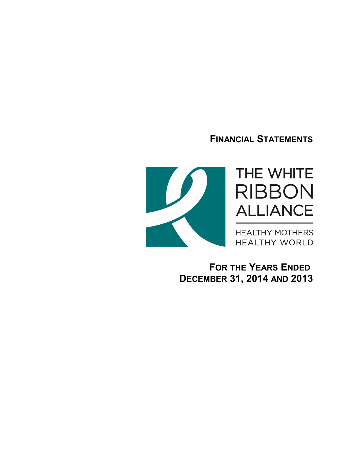**FINANCIAL STATEMENTS**



**FOR THE YEARS ENDED DECEMBER 31, 2014 AND 2013**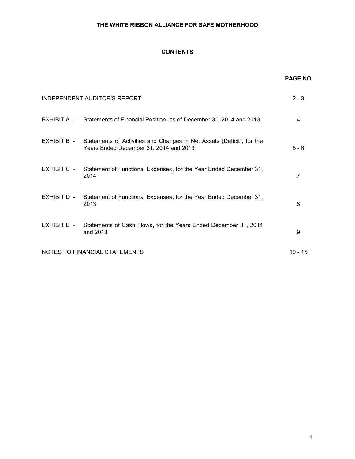# **CONTENTS**

|               |                                                                                                                 | <b>PAGE NO.</b> |
|---------------|-----------------------------------------------------------------------------------------------------------------|-----------------|
|               | INDEPENDENT AUDITOR'S REPORT                                                                                    | $2 - 3$         |
|               | EXHIBIT A - Statements of Financial Position, as of December 31, 2014 and 2013                                  | 4               |
| EXHIBIT B -   | Statements of Activities and Changes in Net Assets (Deficit), for the<br>Years Ended December 31, 2014 and 2013 | $5 - 6$         |
| EXHIBIT C -   | Statement of Functional Expenses, for the Year Ended December 31,<br>2014                                       | 7               |
| EXHIBIT D -   | Statement of Functional Expenses, for the Year Ended December 31,<br>2013                                       | 8               |
| $EXHIBIT E -$ | Statements of Cash Flows, for the Years Ended December 31, 2014<br>and 2013                                     | 9               |
|               | NOTES TO FINANCIAL STATEMENTS                                                                                   | $10 - 15$       |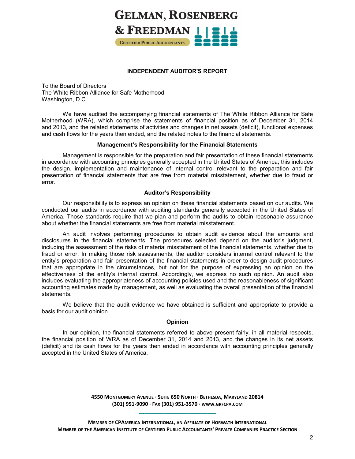# **GELMAN, ROSENBERG** & FREEDMAN  $\frac{1}{2}$ **CERTIFIED PUBLIC ACCOUNTANTS**

#### **INDEPENDENT AUDITOR'S REPORT**

To the Board of Directors The White Ribbon Alliance for Safe Motherhood Washington, D.C.

We have audited the accompanying financial statements of The White Ribbon Alliance for Safe Motherhood (WRA), which comprise the statements of financial position as of December 31, 2014 and 2013, and the related statements of activities and changes in net assets (deficit), functional expenses and cash flows for the years then ended, and the related notes to the financial statements.

#### **Management's Responsibility for the Financial Statements**

Management is responsible for the preparation and fair presentation of these financial statements in accordance with accounting principles generally accepted in the United States of America; this includes the design, implementation and maintenance of internal control relevant to the preparation and fair presentation of financial statements that are free from material misstatement, whether due to fraud or error.

## **Auditor's Responsibility**

Our responsibility is to express an opinion on these financial statements based on our audits. We conducted our audits in accordance with auditing standards generally accepted in the United States of America. Those standards require that we plan and perform the audits to obtain reasonable assurance about whether the financial statements are free from material misstatement.

An audit involves performing procedures to obtain audit evidence about the amounts and disclosures in the financial statements. The procedures selected depend on the auditor's judgment, including the assessment of the risks of material misstatement of the financial statements, whether due to fraud or error. In making those risk assessments, the auditor considers internal control relevant to the entity's preparation and fair presentation of the financial statements in order to design audit procedures that are appropriate in the circumstances, but not for the purpose of expressing an opinion on the effectiveness of the entity's internal control. Accordingly, we express no such opinion. An audit also includes evaluating the appropriateness of accounting policies used and the reasonableness of significant accounting estimates made by management, as well as evaluating the overall presentation of the financial statements.

We believe that the audit evidence we have obtained is sufficient and appropriate to provide a basis for our audit opinion.

## **Opinion**

In our opinion, the financial statements referred to above present fairly, in all material respects, the financial position of WRA as of December 31, 2014 and 2013, and the changes in its net assets (deficit) and its cash flows for the years then ended in accordance with accounting principles generally accepted in the United States of America.

> **4550 MONTGOMERY AVENUE · SUITE 650 NORTH · BETHESDA, MARYLAND 20814 (301) 951-9090 · FAX (301) 951-3570 · WWW.GRFCPA.COM \_\_\_\_\_\_\_\_\_\_\_\_\_\_\_\_\_\_\_\_\_\_\_\_\_\_\_**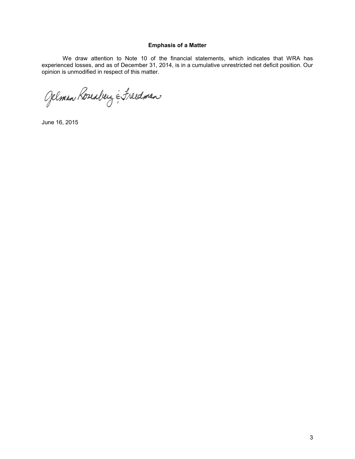#### **Emphasis of a Matter**

We draw attention to Note 10 of the financial statements, which indicates that WRA has experienced losses, and as of December 31, 2014, is in a cumulative unrestricted net deficit position. Our opinion is unmodified in respect of this matter.

Gelman Roseaberg & Freedman

June 16, 2015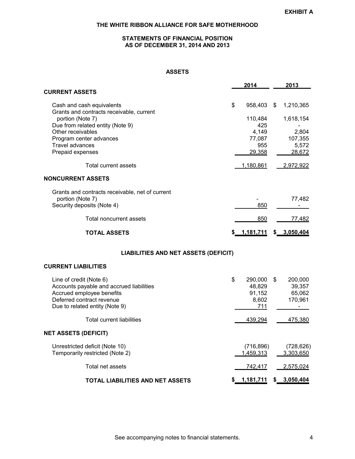# **STATEMENTS OF FINANCIAL POSITION AS OF DECEMBER 31, 2014 AND 2013**

# **ASSETS**

|                                                                       |    | 2014           |     | 2013        |
|-----------------------------------------------------------------------|----|----------------|-----|-------------|
| <b>CURRENT ASSETS</b>                                                 |    |                |     |             |
| Cash and cash equivalents<br>Grants and contracts receivable, current | \$ | 958,403 \$     |     | 1,210,365   |
| portion (Note 7)<br>Due from related entity (Note 9)                  |    | 110,484<br>425 |     | 1,618,154   |
| Other receivables                                                     |    | 4,149          |     | 2,804       |
| Program center advances                                               |    | 77,087         |     | 107,355     |
| <b>Travel advances</b>                                                |    | 955            |     | 5,572       |
| Prepaid expenses                                                      |    | 29,358         |     | 28,672      |
| Total current assets                                                  |    | 1,180,861      |     | 2,972,922   |
| NONCURRENT ASSETS                                                     |    |                |     |             |
| Grants and contracts receivable, net of current                       |    |                |     |             |
| portion (Note 7)                                                      |    |                |     | 77,482      |
| Security deposits (Note 4)                                            |    | 850            |     |             |
| Total noncurrent assets                                               |    | 850            |     | 77,482      |
| <b>TOTAL ASSETS</b>                                                   |    | \$1,181,711    |     | \$3,050,404 |
| <b>LIABILITIES AND NET ASSETS (DEFICIT)</b>                           |    |                |     |             |
| <b>CURRENT LIABILITIES</b>                                            |    |                |     |             |
| Line of credit (Note 6)                                               | \$ | 290,000        | \$  | 200,000     |
| Accounts payable and accrued liabilities                              |    | 48,829         |     | 39,357      |
| Accrued employee benefits                                             |    | 91,152         |     | 65,062      |
| Deferred contract revenue                                             |    | 8,602          |     | 170,961     |
| Due to related entity (Note 9)                                        |    | 711            |     |             |
| <b>Total current liabilities</b>                                      |    | 439,294        |     | 475,380     |
| <b>NET ASSETS (DEFICIT)</b>                                           |    |                |     |             |
| Unrestricted deficit (Note 10)                                        |    | (716, 896)     |     | (728, 626)  |
| Temporarily restricted (Note 2)                                       |    | 1,459,313      |     | 3,303,650   |
| Total net assets                                                      |    | 742,417        |     | 2,575,024   |
| TOTAL LIABILITIES AND NET ASSETS                                      | S. | 1,181,711      | \$_ | 3,050,404   |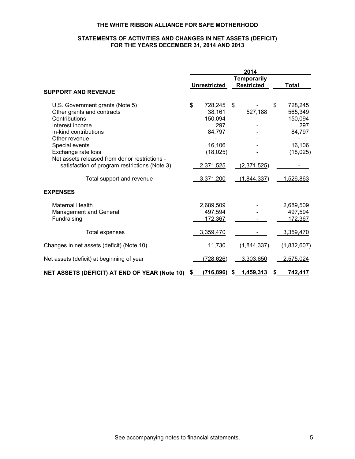# **STATEMENTS OF ACTIVITIES AND CHANGES IN NET ASSETS (DEFICIT) FOR THE YEARS DECEMBER 31, 2014 AND 2013**

|                                                                                                                                             | 2014 |                                               |     |                                         |    |                                                |
|---------------------------------------------------------------------------------------------------------------------------------------------|------|-----------------------------------------------|-----|-----------------------------------------|----|------------------------------------------------|
|                                                                                                                                             |      | <b>Unrestricted</b>                           |     | <b>Temporarily</b><br><b>Restricted</b> |    | <b>Total</b>                                   |
| <b>SUPPORT AND REVENUE</b>                                                                                                                  |      |                                               |     |                                         |    |                                                |
| U.S. Government grants (Note 5)<br>Other grants and contracts<br>Contributions<br>Interest income<br>In-kind contributions<br>Other revenue | \$   | 728,245<br>38,161<br>150,094<br>297<br>84,797 | \$  | 527,188                                 | \$ | 728,245<br>565,349<br>150,094<br>297<br>84,797 |
| Special events<br>Exchange rate loss<br>Net assets released from donor restrictions -                                                       |      | 16,106<br>(18,025)                            |     |                                         |    | 16,106<br>(18,025)                             |
| satisfaction of program restrictions (Note 3)                                                                                               |      | 2,371,525                                     |     | (2,371,525)                             |    |                                                |
| Total support and revenue                                                                                                                   |      | 3,371,200                                     |     | (1,844,337)                             |    | 1,526,863                                      |
| <b>EXPENSES</b>                                                                                                                             |      |                                               |     |                                         |    |                                                |
| <b>Maternal Health</b><br>Management and General<br>Fundraising                                                                             |      | 2,689,509<br>497,594<br>172,367               |     |                                         |    | 2,689,509<br>497,594<br>172,367                |
| <b>Total expenses</b>                                                                                                                       |      | 3,359,470                                     |     |                                         |    | 3,359,470                                      |
| Changes in net assets (deficit) (Note 10)                                                                                                   |      | 11,730                                        |     | (1,844,337)                             |    | (1,832,607)                                    |
| Net assets (deficit) at beginning of year                                                                                                   |      | (728, 626)                                    |     | 3,303,650                               |    | 2,575,024                                      |
| NET ASSETS (DEFICIT) AT END OF YEAR (Note 10)                                                                                               |      | (716, 896)                                    | SS. | 1,459,313                               |    | 742,417                                        |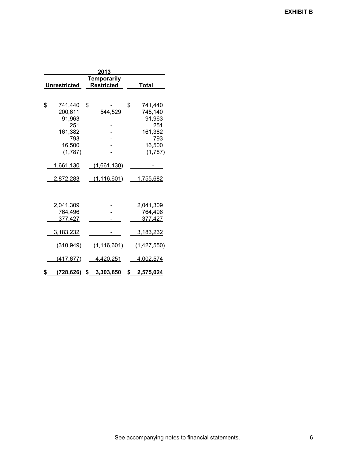| 2013 |                                                                                |    |                              |    |                                                                            |  |  |
|------|--------------------------------------------------------------------------------|----|------------------------------|----|----------------------------------------------------------------------------|--|--|
|      | <b>Temporarily</b><br><b>Unrestricted</b><br><b>Restricted</b><br><b>Total</b> |    |                              |    |                                                                            |  |  |
| \$   | 741,440<br>200,611<br>91,963<br>251<br>161,382<br>793<br>16,500<br>(1,787)     | \$ | 544,529                      | \$ | 741,440<br>745,140<br>91,963<br>251<br>161,382<br>793<br>16,500<br>(1,787) |  |  |
|      | <u>1,661,130</u><br>2,872,283                                                  |    | (1,661,130)<br>(1, 116, 601) |    | <u>1,755,682</u>                                                           |  |  |
|      | 2,041,309<br>764,496<br>377,427                                                |    |                              |    | 2,041,309<br>764,496<br>377,427                                            |  |  |
|      | <u>3,183,232</u>                                                               |    |                              |    | <u>3,183,232</u>                                                           |  |  |
|      | (310, 949)                                                                     |    | (1, 116, 601)                |    | (1,427,550)                                                                |  |  |
|      | (417, 677)                                                                     |    | <u>4,420,251</u>             |    | <u>4,002,574</u>                                                           |  |  |
| \$   | (728, 626)                                                                     | \$ | 3,303,650                    | \$ | 2,575,024                                                                  |  |  |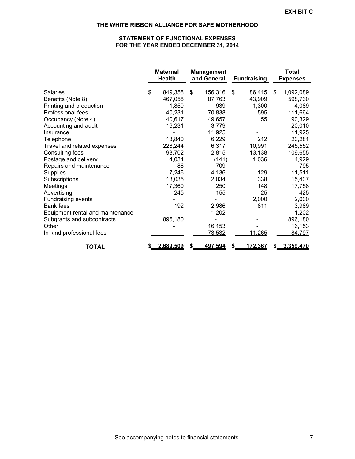# **STATEMENT OF FUNCTIONAL EXPENSES FOR THE YEAR ENDED DECEMBER 31, 2014**

|                                   | <b>Maternal</b><br><b>Health</b> |    | <b>Management</b><br>and General |    | <b>Fundraising</b> |    | <b>Total</b><br><b>Expenses</b> |
|-----------------------------------|----------------------------------|----|----------------------------------|----|--------------------|----|---------------------------------|
| <b>Salaries</b>                   | \$<br>849,358                    | \$ | 156,316                          | \$ | 86,415             | \$ | 1,092,089                       |
| Benefits (Note 8)                 | 467,058                          |    | 87,763                           |    | 43,909             |    | 598,730                         |
| Printing and production           | 1,850                            |    | 939                              |    | 1,300              |    | 4,089                           |
| Professional fees                 | 40,231                           |    | 70,838                           |    | 595                |    | 111,664                         |
| Occupancy (Note 4)                | 40,617                           |    | 49,657                           |    | 55                 |    | 90,329                          |
|                                   | 16,231                           |    | 3,779                            |    |                    |    | 20,010                          |
| Accounting and audit<br>Insurance |                                  |    | 11,925                           |    |                    |    | 11,925                          |
|                                   | 13,840                           |    | 6,229                            |    | 212                |    | 20,281                          |
| Telephone                         |                                  |    |                                  |    |                    |    |                                 |
| Travel and related expenses       | 228,244                          |    | 6,317                            |    | 10,991             |    | 245,552                         |
| Consulting fees                   | 93,702<br>4,034                  |    | 2,815<br>(141)                   |    | 13,138             |    | 109,655                         |
| Postage and delivery              |                                  |    |                                  |    | 1,036              |    | 4,929                           |
| Repairs and maintenance           | 86                               |    | 709                              |    |                    |    | 795                             |
| <b>Supplies</b>                   | 7,246                            |    | 4,136                            |    | 129                |    | 11,511                          |
| Subscriptions                     | 13,035                           |    | 2,034                            |    | 338                |    | 15,407                          |
| Meetings                          | 17,360                           |    | 250                              |    | 148                |    | 17,758                          |
| Advertising                       | 245                              |    | 155                              |    | 25                 |    | 425                             |
| Fundraising events                |                                  |    |                                  |    | 2,000              |    | 2,000                           |
| <b>Bank fees</b>                  | 192                              |    | 2,986                            |    | 811                |    | 3,989                           |
| Equipment rental and maintenance  |                                  |    | 1,202                            |    |                    |    | 1,202                           |
| Subgrants and subcontracts        | 896,180                          |    |                                  |    |                    |    | 896,180                         |
| Other                             |                                  |    | 16,153                           |    |                    |    | 16,153                          |
| In-kind professional fees         |                                  |    | 73,532                           |    | 11,265             |    | 84,797                          |
| <b>TOTAL</b>                      | 2,689,509                        | S  | 497,594                          | S  | 172,367            | S  | 3,359,470                       |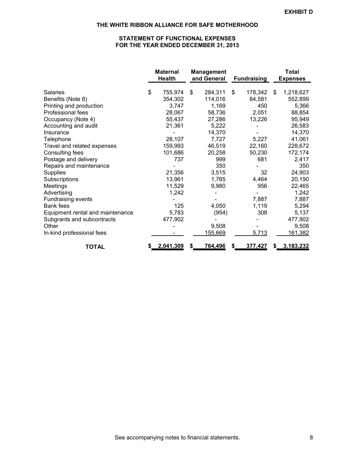# **STATEMENT OF FUNCTIONAL EXPENSES FOR THE YEAR ENDED DECEMBER 31, 2013**

|                                  | <b>Maternal</b><br><b>Health</b> | <b>Management</b><br>and General | <b>Fundraising</b> |    | <b>Total</b><br><b>Expenses</b> |
|----------------------------------|----------------------------------|----------------------------------|--------------------|----|---------------------------------|
| Salaries                         | \$<br>755,974                    | \$<br>284,311                    | \$<br>178,342      | \$ | 1,218,627                       |
| Benefits (Note 8)                | 354,302                          | 114,016                          | 84,581             |    | 552,899                         |
| Printing and production          | 3,747                            | 1,169                            | 450                |    | 5,366                           |
| Professional fees                | 28,067                           | 58,736                           | 2,051              |    | 88,854                          |
| Occupancy (Note 4)               | 55,437                           | 27,286                           | 13,226             |    | 95,949                          |
| Accounting and audit             | 21,361                           | 5,222                            |                    |    | 26,583                          |
| Insurance                        |                                  | 14,370                           |                    |    | 14,370                          |
| Telephone                        | 28,107                           | 7,727                            | 5,227              |    | 41,061                          |
| Travel and related expenses      | 159,993                          | 46,519                           | 22,160             |    | 228,672                         |
| Consulting fees                  | 101,686                          | 20,258                           | 50,230             |    | 172,174                         |
| Postage and delivery             | 737                              | 999                              | 681                |    | 2,417                           |
| Repairs and maintenance          |                                  | 350                              |                    |    | 350                             |
| <b>Supplies</b>                  | 21,356                           | 3,515                            | 32                 |    | 24,903                          |
| Subscriptions                    | 13,961                           | 1,765                            | 4,464              |    | 20,190                          |
| Meetings                         | 11,529                           | 9,980                            | 956                |    | 22,465                          |
| Advertising                      | 1,242                            |                                  |                    |    | 1,242                           |
| Fundraising events               |                                  |                                  | 7,887              |    | 7,887                           |
| <b>Bank fees</b>                 | 125                              | 4,050                            | 1,119              |    | 5,294                           |
| Equipment rental and maintenance | 5,783                            | (954)                            | 308                |    | 5,137                           |
| Subgrants and subcontracts       | 477,902                          |                                  |                    |    | 477,902                         |
| Other                            |                                  | 9,508                            |                    |    | 9,508                           |
| In-kind professional fees        |                                  | 155,669                          | 5,713              |    | 161,382                         |
| <b>TOTAL</b>                     | 2,041,309                        | 764,496                          | 377,427            | S  | 3,183,232                       |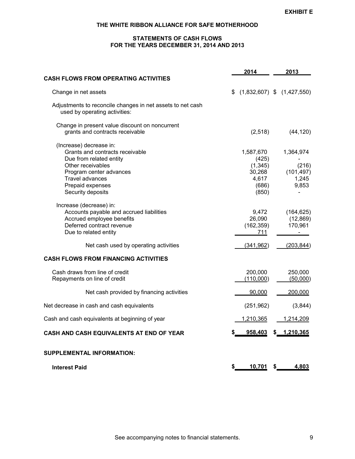# **STATEMENTS OF CASH FLOWS FOR THE YEARS DECEMBER 31, 2014 AND 2013**

|                                                                                                                                                                                                   | 2014                                                                | 2013                                               |
|---------------------------------------------------------------------------------------------------------------------------------------------------------------------------------------------------|---------------------------------------------------------------------|----------------------------------------------------|
| <b>CASH FLOWS FROM OPERATING ACTIVITIES</b>                                                                                                                                                       |                                                                     |                                                    |
| Change in net assets                                                                                                                                                                              | \$<br>$(1,832,607)$ \$ $(1,427,550)$                                |                                                    |
| Adjustments to reconcile changes in net assets to net cash<br>used by operating activities:                                                                                                       |                                                                     |                                                    |
| Change in present value discount on noncurrent<br>grants and contracts receivable                                                                                                                 | (2,518)                                                             | (44, 120)                                          |
| (Increase) decrease in:<br>Grants and contracts receivable<br>Due from related entity<br>Other receivables<br>Program center advances<br>Travel advances<br>Prepaid expenses<br>Security deposits | 1,587,670<br>(425)<br>(1, 345)<br>30,268<br>4,617<br>(686)<br>(850) | 1,364,974<br>(216)<br>(101, 497)<br>1,245<br>9,853 |
| Increase (decrease) in:<br>Accounts payable and accrued liabilities<br>Accrued employee benefits<br>Deferred contract revenue<br>Due to related entity                                            | 9,472<br>26,090<br>(162, 359)<br>711                                | (164, 625)<br>(12, 869)<br>170,961                 |
| Net cash used by operating activities                                                                                                                                                             | (341, 962)                                                          | (203, 844)                                         |
| <b>CASH FLOWS FROM FINANCING ACTIVITIES</b>                                                                                                                                                       |                                                                     |                                                    |
| Cash draws from line of credit<br>Repayments on line of credit                                                                                                                                    | 200,000<br>(110,000)                                                | 250,000<br>(50,000)                                |
| Net cash provided by financing activities                                                                                                                                                         | 90,000                                                              | 200,000                                            |
| Net decrease in cash and cash equivalents                                                                                                                                                         | (251, 962)                                                          | (3,844)                                            |
| Cash and cash equivalents at beginning of year                                                                                                                                                    | 1,210,365                                                           | 1,214,209                                          |
| <b>CASH AND CASH EQUIVALENTS AT END OF YEAR</b>                                                                                                                                                   | 958,403                                                             | \$ 1,210,365                                       |
| SUPPLEMENTAL INFORMATION:                                                                                                                                                                         |                                                                     |                                                    |
| <b>Interest Paid</b>                                                                                                                                                                              | \$<br>10.701                                                        | \$<br>4,803                                        |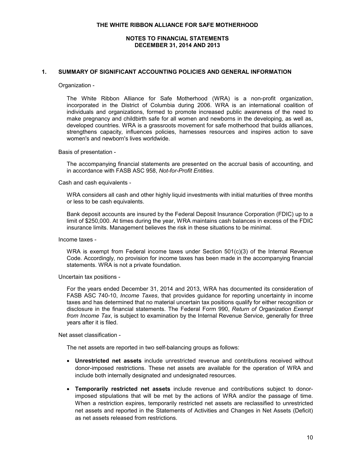#### **NOTES TO FINANCIAL STATEMENTS DECEMBER 31, 2014 AND 2013**

#### **1. SUMMARY OF SIGNIFICANT ACCOUNTING POLICIES AND GENERAL INFORMATION**

#### Organization -

The White Ribbon Alliance for Safe Motherhood (WRA) is a non-profit organization, incorporated in the District of Columbia during 2006. WRA is an international coalition of individuals and organizations, formed to promote increased public awareness of the need to make pregnancy and childbirth safe for all women and newborns in the developing, as well as, developed countries. WRA is a grassroots movement for safe motherhood that builds alliances, strengthens capacity, influences policies, harnesses resources and inspires action to save women's and newborn's lives worldwide.

Basis of presentation -

The accompanying financial statements are presented on the accrual basis of accounting, and in accordance with FASB ASC 958, *Not-for-Profit Entities*.

Cash and cash equivalents -

WRA considers all cash and other highly liquid investments with initial maturities of three months or less to be cash equivalents.

Bank deposit accounts are insured by the Federal Deposit Insurance Corporation (FDIC) up to a limit of \$250,000. At times during the year, WRA maintains cash balances in excess of the FDIC insurance limits. Management believes the risk in these situations to be minimal.

Income taxes -

WRA is exempt from Federal income taxes under Section 501(c)(3) of the Internal Revenue Code. Accordingly, no provision for income taxes has been made in the accompanying financial statements. WRA is not a private foundation.

Uncertain tax positions -

For the years ended December 31, 2014 and 2013, WRA has documented its consideration of FASB ASC 740-10, *Income Taxes*, that provides guidance for reporting uncertainty in income taxes and has determined that no material uncertain tax positions qualify for either recognition or disclosure in the financial statements. The Federal Form 990, *Return of Organization Exempt from Income Tax*, is subject to examination by the Internal Revenue Service, generally for three years after it is filed.

Net asset classification -

The net assets are reported in two self-balancing groups as follows:

- **Unrestricted net assets** include unrestricted revenue and contributions received without donor-imposed restrictions. These net assets are available for the operation of WRA and include both internally designated and undesignated resources.
- **Temporarily restricted net assets** include revenue and contributions subject to donorimposed stipulations that will be met by the actions of WRA and/or the passage of time. When a restriction expires, temporarily restricted net assets are reclassified to unrestricted net assets and reported in the Statements of Activities and Changes in Net Assets (Deficit) as net assets released from restrictions.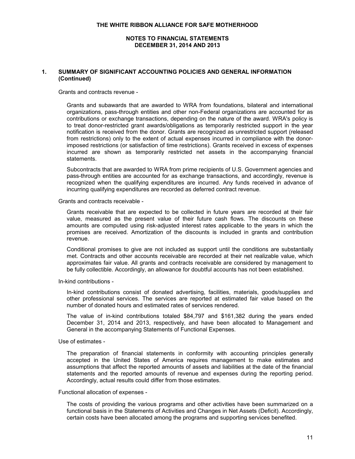#### **NOTES TO FINANCIAL STATEMENTS DECEMBER 31, 2014 AND 2013**

#### **1. SUMMARY OF SIGNIFICANT ACCOUNTING POLICIES AND GENERAL INFORMATION (Continued)**

Grants and contracts revenue -

Grants and subawards that are awarded to WRA from foundations, bilateral and international organizations, pass-through entities and other non-Federal organizations are accounted for as contributions or exchange transactions, depending on the nature of the award. WRA's policy is to treat donor-restricted grant awards/obligations as temporarily restricted support in the year notification is received from the donor. Grants are recognized as unrestricted support (released from restrictions) only to the extent of actual expenses incurred in compliance with the donorimposed restrictions (or satisfaction of time restrictions). Grants received in excess of expenses incurred are shown as temporarily restricted net assets in the accompanying financial statements.

Subcontracts that are awarded to WRA from prime recipients of U.S. Government agencies and pass-through entities are accounted for as exchange transactions, and accordingly, revenue is recognized when the qualifying expenditures are incurred. Any funds received in advance of incurring qualifying expenditures are recorded as deferred contract revenue.

Grants and contracts receivable -

Grants receivable that are expected to be collected in future years are recorded at their fair value, measured as the present value of their future cash flows. The discounts on these amounts are computed using risk-adjusted interest rates applicable to the years in which the promises are received. Amortization of the discounts is included in grants and contribution revenue.

Conditional promises to give are not included as support until the conditions are substantially met. Contracts and other accounts receivable are recorded at their net realizable value, which approximates fair value. All grants and contracts receivable are considered by management to be fully collectible. Accordingly, an allowance for doubtful accounts has not been established.

In-kind contributions -

In-kind contributions consist of donated advertising, facilities, materials, goods/supplies and other professional services. The services are reported at estimated fair value based on the number of donated hours and estimated rates of services rendered.

The value of in-kind contributions totaled \$84,797 and \$161,382 during the years ended December 31, 2014 and 2013, respectively, and have been allocated to Management and General in the accompanying Statements of Functional Expenses.

Use of estimates -

The preparation of financial statements in conformity with accounting principles generally accepted in the United States of America requires management to make estimates and assumptions that affect the reported amounts of assets and liabilities at the date of the financial statements and the reported amounts of revenue and expenses during the reporting period. Accordingly, actual results could differ from those estimates.

Functional allocation of expenses -

The costs of providing the various programs and other activities have been summarized on a functional basis in the Statements of Activities and Changes in Net Assets (Deficit). Accordingly, certain costs have been allocated among the programs and supporting services benefited.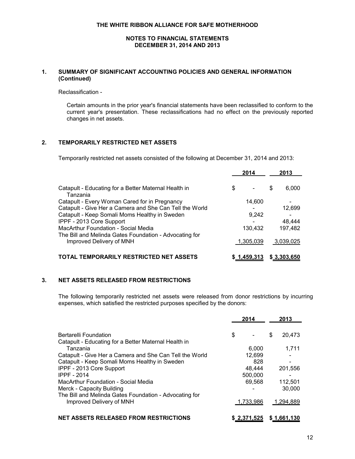#### **NOTES TO FINANCIAL STATEMENTS DECEMBER 31, 2014 AND 2013**

## **1. SUMMARY OF SIGNIFICANT ACCOUNTING POLICIES AND GENERAL INFORMATION (Continued)**

Reclassification -

Certain amounts in the prior year's financial statements have been reclassified to conform to the current year's presentation. These reclassifications had no effect on the previously reported changes in net assets.

#### **2. TEMPORARILY RESTRICTED NET ASSETS**

Temporarily restricted net assets consisted of the following at December 31, 2014 and 2013:

|                                                                                                      | 2014 |             |   | 2013        |  |
|------------------------------------------------------------------------------------------------------|------|-------------|---|-------------|--|
| Catapult - Educating for a Better Maternal Health in                                                 | S    |             | S | 6,000       |  |
| Tanzania<br>Catapult - Every Woman Cared for in Pregnancy                                            |      | 14,600      |   |             |  |
| Catapult - Give Her a Camera and She Can Tell the World                                              |      |             |   | 12,699      |  |
| Catapult - Keep Somali Moms Healthy in Sweden                                                        |      | 9,242       |   |             |  |
| IPPF - 2013 Core Support                                                                             |      |             |   | 48,444      |  |
| <b>MacArthur Foundation - Social Media</b><br>The Bill and Melinda Gates Foundation - Advocating for |      | 130,432     |   | 197,482     |  |
| Improved Delivery of MNH                                                                             |      | 1,305,039   |   | 3,039,025   |  |
| TOTAL TEMPORARILY RESTRICTED NET ASSETS                                                              |      | \$1,459,313 |   | \$3,303,650 |  |

#### **3. NET ASSETS RELEASED FROM RESTRICTIONS**

The following temporarily restricted net assets were released from donor restrictions by incurring expenses, which satisfied the restricted purposes specified by the donors:

|                                                                  | 2014        | 2013               |
|------------------------------------------------------------------|-------------|--------------------|
| <b>Bertarelli Foundation</b>                                     | \$          | \$<br>20,473       |
| Catapult - Educating for a Better Maternal Health in<br>Tanzania | 6,000       | 1.711              |
| Catapult - Give Her a Camera and She Can Tell the World          | 12.699      |                    |
| Catapult - Keep Somali Moms Healthy in Sweden                    | 828         |                    |
| IPPF - 2013 Core Support                                         | 48.444      | 201,556            |
| <b>IPPF - 2014</b>                                               | 500,000     |                    |
| MacArthur Foundation - Social Media                              | 69.568      | 112,501            |
| Merck - Capacity Building                                        |             | 30,000             |
| The Bill and Melinda Gates Foundation - Advocating for           |             |                    |
| Improved Delivery of MNH                                         | 1.733.986   | 1.294.889          |
| <b>NET ASSETS RELEASED FROM RESTRICTIONS</b>                     | \$2,371,525 | <u>\$1,661,130</u> |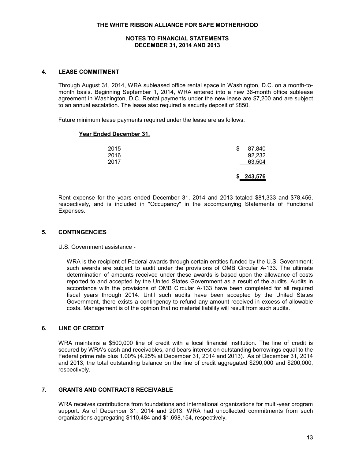#### **NOTES TO FINANCIAL STATEMENTS DECEMBER 31, 2014 AND 2013**

#### **4. LEASE COMMITMENT**

Through August 31, 2014, WRA subleased office rental space in Washington, D.C. on a month-tomonth basis. Beginning September 1, 2014, WRA entered into a new 36-month office sublease agreement in Washington, D.C. Rental payments under the new lease are \$7,200 and are subject to an annual escalation. The lease also required a security deposit of \$850.

Future minimum lease payments required under the lease are as follows:

#### **Year Ended December 31,**

| 2016<br>2017 | 92,232<br>63,504 |
|--------------|------------------|
|              | 243,576          |

Rent expense for the years ended December 31, 2014 and 2013 totaled \$81,333 and \$78,456, respectively, and is included in "Occupancy" in the accompanying Statements of Functional Expenses.

#### **5. CONTINGENCIES**

#### U.S. Government assistance -

WRA is the recipient of Federal awards through certain entities funded by the U.S. Government; such awards are subject to audit under the provisions of OMB Circular A-133. The ultimate determination of amounts received under these awards is based upon the allowance of costs reported to and accepted by the United States Government as a result of the audits. Audits in accordance with the provisions of OMB Circular A-133 have been completed for all required fiscal years through 2014. Until such audits have been accepted by the United States Government, there exists a contingency to refund any amount received in excess of allowable costs. Management is of the opinion that no material liability will result from such audits.

## **6. LINE OF CREDIT**

WRA maintains a \$500,000 line of credit with a local financial institution. The line of credit is secured by WRA's cash and receivables, and bears interest on outstanding borrowings equal to the Federal prime rate plus 1.00% (4.25% at December 31, 2014 and 2013). As of December 31, 2014 and 2013, the total outstanding balance on the line of credit aggregated \$290,000 and \$200,000, respectively.

## **7. GRANTS AND CONTRACTS RECEIVABLE**

WRA receives contributions from foundations and international organizations for multi-year program support. As of December 31, 2014 and 2013, WRA had uncollected commitments from such organizations aggregating \$110,484 and \$1,698,154, respectively.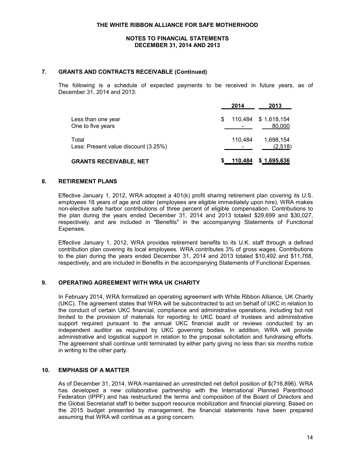#### **NOTES TO FINANCIAL STATEMENTS DECEMBER 31, 2014 AND 2013**

#### **7. GRANTS AND CONTRACTS RECEIVABLE (Continued)**

The following is a schedule of expected payments to be received in future years, as of December 31, 2014 and 2013:

|                                               | 2014    | 2013                          |
|-----------------------------------------------|---------|-------------------------------|
| Less than one year<br>One to five years       |         | 110,484 \$1,618,154<br>80,000 |
| Total<br>Less: Present value discount (3.25%) | 110.484 | 1,698,154<br>(2,518)          |
| <b>GRANTS RECEIVABLE, NET</b>                 | 110,484 | \$1,695,636                   |

## **8. RETIREMENT PLANS**

Effective January 1, 2012, WRA adopted a 401(k) profit sharing retirement plan covering its U.S. employees 18 years of age and older (employees are eligible immediately upon hire). WRA makes non-elective safe harbor contributions of three percent of eligible compensation. Contributions to the plan during the years ended December 31, 2014 and 2013 totaled \$29,699 and \$30,027, respectively, and are included in "Benefits" in the accompanying Statements of Functional Expenses.

Effective January 1, 2012, WRA provides retirement benefits to its U.K. staff through a defined contribution plan covering its local employees. WRA contributes 3% of gross wages. Contributions to the plan during the years ended December 31, 2014 and 2013 totaled \$10,492 and \$11,768, respectively, and are included in Benefits in the accompanying Statements of Functional Expenses.

#### **9. OPERATING AGREEMENT WITH WRA UK CHARITY**

In February 2014, WRA formalized an operating agreement with White Ribbon Alliance, UK Charity (UKC). The agreement states that WRA will be subcontracted to act on behalf of UKC in relation to the conduct of certain UKC financial, compliance and administrative operations, including but not limited to the provision of materials for reporting to UKC board of trustees and administrative support required pursuant to the annual UKC financial audit or reviews conducted by an independent auditor as required by UKC governing bodies. In addition, WRA will provide administrative and logistical support in relation to the proposal solicitation and fundraising efforts. The agreement shall continue until terminated by either party giving no less than six months notice in writing to the other party.

## **10. EMPHASIS OF A MATTER**

As of December 31, 2014, WRA maintained an unrestricted net deficit position of \$(716,896). WRA has developed a new collaborative partnership with the International Planned Parenthood Federation (IPPF) and has restructured the terms and composition of the Board of Directors and the Global Secretariat staff to better support resource mobilization and financial planning. Based on the 2015 budget presented by management, the financial statements have been prepared assuming that WRA will continue as a going concern.